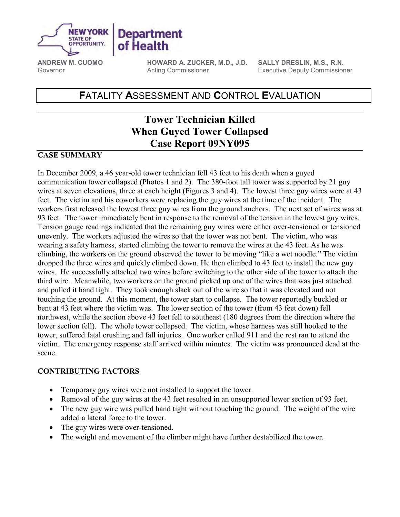

**ANDREW M. CUOMO HOWARD A. ZUCKER, M.D., J.D. SALLY DRESLIN, M.S., R.N.**  Governor **Executive Deputy Commissioner** Executive Deputy Commissioner

# **F**ATALITY **A**SSESSMENT AND **C**ONTROL **E**VALUATION

# **Tower Technician Killed When Guyed Tower Collapsed Case Report 09NY095**

#### **CASE SUMMARY**

In December 2009, a 46 year-old tower technician fell 43 feet to his death when a guyed communication tower collapsed (Photos 1 and 2). The 380-foot tall tower was supported by 21 guy wires at seven elevations, three at each height (Figures 3 and 4). The lowest three guy wires were at 43 feet. The victim and his coworkers were replacing the guy wires at the time of the incident. The workers first released the lowest three guy wires from the ground anchors. The next set of wires was at dropped the three wires and quickly climbed down. He then climbed to 43 feet to install the new guy bent at 43 feet where the victim was. The lower section of the tower (from 43 feet down) fell victim. The emergency response staff arrived within minutes. The victim was pronounced dead at the 93 feet. The tower immediately bent in response to the removal of the tension in the lowest guy wires. Tension gauge readings indicated that the remaining guy wires were either over-tensioned or tensioned unevenly. The workers adjusted the wires so that the tower was not bent. The victim, who was wearing a safety harness, started climbing the tower to remove the wires at the 43 feet. As he was climbing, the workers on the ground observed the tower to be moving "like a wet noodle." The victim wires. He successfully attached two wires before switching to the other side of the tower to attach the third wire. Meanwhile, two workers on the ground picked up one of the wires that was just attached and pulled it hand tight. They took enough slack out of the wire so that it was elevated and not touching the ground. At this moment, the tower start to collapse. The tower reportedly buckled or northwest, while the section above 43 feet fell to southeast (180 degrees from the direction where the lower section fell). The whole tower collapsed. The victim, whose harness was still hooked to the tower, suffered fatal crushing and fall injuries. One worker called 911 and the rest ran to attend the scene.

### **CONTRIBUTING FACTORS**

- • Temporary guy wires were not installed to support the tower.
- Removal of the guy wires at the 43 feet resulted in an unsupported lower section of 93 feet.
- The new guy wire was pulled hand tight without touching the ground. The weight of the wire added a lateral force to the tower.
- The guy wires were over-tensioned.
- The weight and movement of the climber might have further destabilized the tower.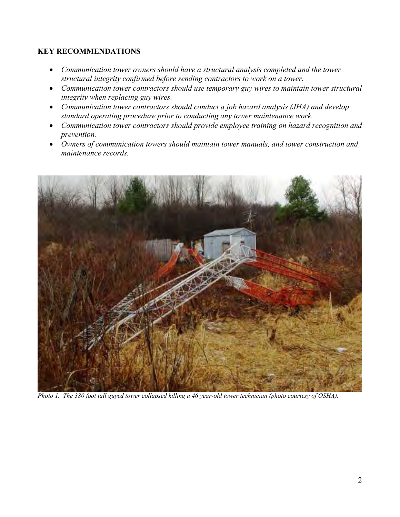### **KEY RECOMMENDATIONS**

- • *Communication tower owners should have a structural analysis completed and the tower structural integrity confirmed before sending contractors to work on a tower.*
- • *Communication tower contractors should use temporary guy wires to maintain tower structural integrity when replacing guy wires.*
- *standard operating procedure prior to conducting any tower maintenance work.* • *Communication tower contractors should conduct a job hazard analysis (JHA) and develop*
- • *Communication tower contractors should provide employee training on hazard recognition and prevention.*
- • *Owners of communication towers should maintain tower manuals, and tower construction and maintenance records.*



Photo 1. The 380 foot tall guyed tower collapsed killing a 46 year-old tower technician (photo courtesy of OSHA).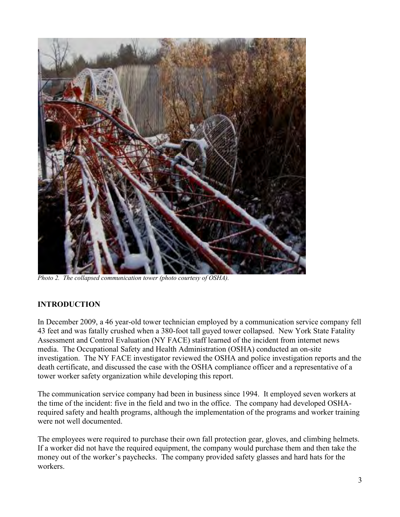

 *Photo 2. The collapsed communication tower (photo courtesy of OSHA).*

## **INTRODUCTION**

43 feet and was fatally crushed when a 380-foot tall guyed tower collapsed. New York State Fatality investigation. The NY FACE investigator reviewed the OSHA and police investigation reports and the In December 2009, a 46 year-old tower technician employed by a communication service company fell Assessment and Control Evaluation (NY FACE) staff learned of the incident from internet news media. The Occupational Safety and Health Administration (OSHA) conducted an on-site death certificate, and discussed the case with the OSHA compliance officer and a representative of a tower worker safety organization while developing this report.

The communication service company had been in business since 1994. It employed seven workers at the time of the incident: five in the field and two in the office. The company had developed OSHArequired safety and health programs, although the implementation of the programs and worker training were not well documented.

The employees were required to purchase their own fall protection gear, gloves, and climbing helmets. If a worker did not have the required equipment, the company would purchase them and then take the money out of the worker's paychecks. The company provided safety glasses and hard hats for the workers.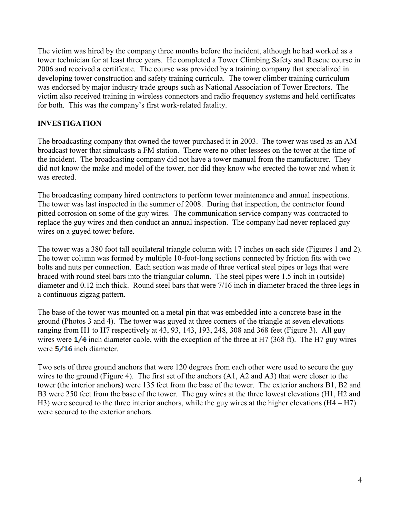tower technician for at least three years. He completed a Tower Climbing Safety and Rescue course in The victim was hired by the company three months before the incident, although he had worked as a 2006 and received a certificate. The course was provided by a training company that specialized in developing tower construction and safety training curricula. The tower climber training curriculum was endorsed by major industry trade groups such as National Association of Tower Erectors. The victim also received training in wireless connectors and radio frequency systems and held certificates for both. This was the company's first work-related fatality.

### **INVESTIGATION**

 The broadcasting company that owned the tower purchased it in 2003. The tower was used as an AM broadcast tower that simulcasts a FM station. There were no other lessees on the tower at the time of the incident. The broadcasting company did not have a tower manual from the manufacturer. They did not know the make and model of the tower, nor did they know who erected the tower and when it was erected.

 pitted corrosion on some of the guy wires. The communication service company was contracted to replace the guy wires and then conduct an annual inspection. The company had never replaced guy The broadcasting company hired contractors to perform tower maintenance and annual inspections. The tower was last inspected in the summer of 2008. During that inspection, the contractor found wires on a guyed tower before.

 diameter and 0.12 inch thick. Round steel bars that were 7/16 inch in diameter braced the three legs in The tower was a 380 foot tall equilateral triangle column with 17 inches on each side (Figures 1 and 2). The tower column was formed by multiple 10-foot-long sections connected by friction fits with two bolts and nuts per connection. Each section was made of three vertical steel pipes or legs that were braced with round steel bars into the triangular column. The steel pipes were 1.5 inch in (outside) a continuous zigzag pattern.

 ground (Photos 3 and 4). The tower was guyed at three corners of the triangle at seven elevations wires were  $\frac{1}{4}$  inch diameter cable, with the exception of the three at H7 (368 ft). The H7 guy wires The base of the tower was mounted on a metal pin that was embedded into a concrete base in the ranging from H1 to H7 respectively at 43, 93, 143, 193, 248, 308 and 368 feet (Figure 3). All guy were  $5/16$  inch diameter.

 Two sets of three ground anchors that were 120 degrees from each other were used to secure the guy wires to the ground (Figure 4). The first set of the anchors (A1, A2 and A3) that were closer to the tower (the interior anchors) were 135 feet from the base of the tower. The exterior anchors B1, B2 and B3 were 250 feet from the base of the tower. The guy wires at the three lowest elevations (H1, H2 and H3) were secured to the three interior anchors, while the guy wires at the higher elevations (H4 – H7) were secured to the exterior anchors.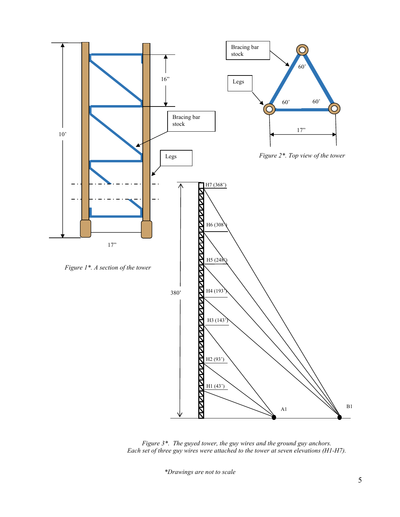

 *Figure 3\*. The guyed tower, the guy wires and the ground guy anchors. Each set of three guy wires were attached to the tower at seven elevations (H1-H7).* 

 *\*Drawings are not to scale*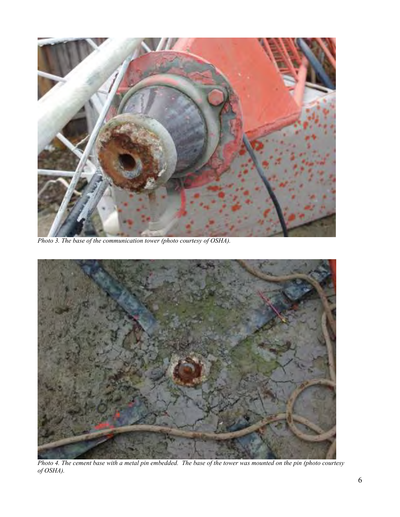

 *Photo 3. The base of the communication tower (photo courtesy of OSHA).*



4. The cement base with a metal pin embedded. The base of the tower was mounted on the pin (photo courtesy Photo 4. The cement base with a metal pin embedded. The base of the tower was mounted on the pin (photo courtesy *of OSHA).*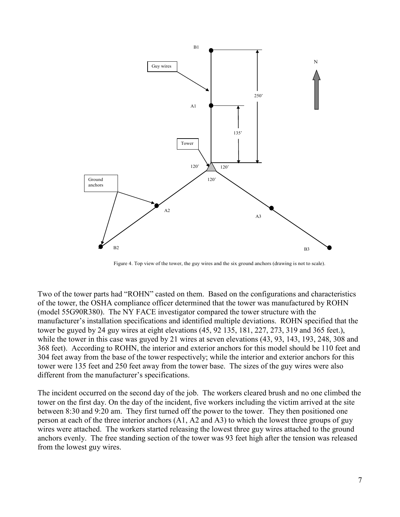

Figure 4. Top view of the tower, the guy wires and the six ground anchors (drawing is not to scale).

 tower be guyed by 24 guy wires at eight elevations (45, 92 135, 181, 227, 273, 319 and 365 feet.), 368 feet). According to ROHN, the interior and exterior anchors for this model should be 110 feet and tower were 135 feet and 250 feet away from the tower base. The sizes of the guy wires were also Two of the tower parts had "ROHN" casted on them. Based on the configurations and characteristics of the tower, the OSHA compliance officer determined that the tower was manufactured by ROHN (model 55G90R380). The NY FACE investigator compared the tower structure with the manufacturer's installation specifications and identified multiple deviations. ROHN specified that the while the tower in this case was guyed by 21 wires at seven elevations (43, 93, 143, 193, 248, 308 and 304 feet away from the base of the tower respectively; while the interior and exterior anchors for this different from the manufacturer's specifications.

 The incident occurred on the second day of the job. The workers cleared brush and no one climbed the between 8:30 and 9:20 am. They first turned off the power to the tower. They then positioned one person at each of the three interior anchors (A1, A2 and A3) to which the lowest three groups of guy wires were attached. The workers started releasing the lowest three guy wires attached to the ground anchors evenly. The free standing section of the tower was 93 feet high after the tension was released tower on the first day. On the day of the incident, five workers including the victim arrived at the site from the lowest guy wires.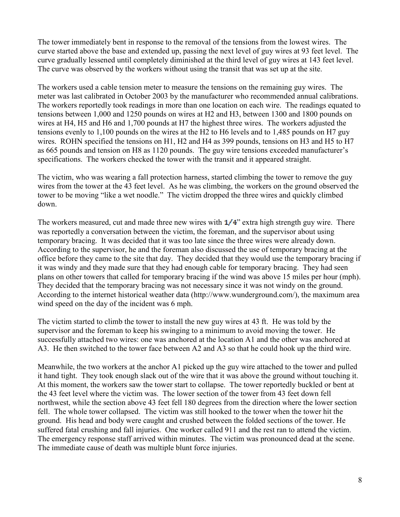The tower immediately bent in response to the removal of the tensions from the lowest wires. The curve started above the base and extended up, passing the next level of guy wires at 93 feet level. The curve gradually lessened until completely diminished at the third level of guy wires at 143 feet level. The curve was observed by the workers without using the transit that was set up at the site.

 meter was last calibrated in October 2003 by the manufacturer who recommended annual calibrations. The workers used a cable tension meter to measure the tensions on the remaining guy wires. The The workers reportedly took readings in more than one location on each wire. The readings equated to tensions between 1,000 and 1250 pounds on wires at H2 and H3, between 1300 and 1800 pounds on wires at H4, H5 and H6 and 1,700 pounds at H7 the highest three wires. The workers adjusted the tensions evenly to 1,100 pounds on the wires at the H2 to H6 levels and to 1,485 pounds on H7 guy wires. ROHN specified the tensions on H1, H2 and H4 as 399 pounds, tensions on H3 and H5 to H7 as 665 pounds and tension on H8 as 1120 pounds. The guy wire tensions exceeded manufacturer's specifications. The workers checked the tower with the transit and it appeared straight.

 The victim, who was wearing a fall protection harness, started climbing the tower to remove the guy tower to be moving "like a wet noodle." The victim dropped the three wires and quickly climbed wires from the tower at the 43 feet level. As he was climbing, the workers on the ground observed the down.

 temporary bracing. It was decided that it was too late since the three wires were already down. According to the supervisor, he and the foreman also discussed the use of temporary bracing at the office before they came to the site that day. They decided that they would use the temporary bracing if plans on other towers that called for temporary bracing if the wind was above 15 miles per hour (mph). The workers measured, cut and made three new wires with  $1/4$ " extra high strength guy wire. There was reportedly a conversation between the victim, the foreman, and the supervisor about using it was windy and they made sure that they had enough cable for temporary bracing. They had seen They decided that the temporary bracing was not necessary since it was not windy on the ground. According to the internet historical weather data (http://www.wunderground.com/), the maximum area wind speed on the day of the incident was 6 mph.

 successfully attached two wires: one was anchored at the location A1 and the other was anchored at The victim started to climb the tower to install the new guy wires at 43 ft. He was told by the supervisor and the foreman to keep his swinging to a minimum to avoid moving the tower. He A3. He then switched to the tower face between A2 and A3 so that he could hook up the third wire.

 Meanwhile, the two workers at the anchor A1 picked up the guy wire attached to the tower and pulled northwest, while the section above 43 feet fell 180 degrees from the direction where the lower section ground. His head and body were caught and crushed between the folded sections of the tower. He The emergency response staff arrived within minutes. The victim was pronounced dead at the scene. it hand tight. They took enough slack out of the wire that it was above the ground without touching it. At this moment, the workers saw the tower start to collapse. The tower reportedly buckled or bent at the 43 feet level where the victim was. The lower section of the tower from 43 feet down fell fell. The whole tower collapsed. The victim was still hooked to the tower when the tower hit the suffered fatal crushing and fall injuries. One worker called 911 and the rest ran to attend the victim. The immediate cause of death was multiple blunt force injuries.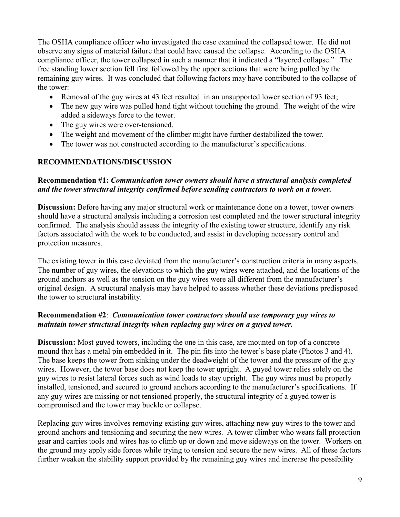remaining guy wires. It was concluded that following factors may have contributed to the collapse of The OSHA compliance officer who investigated the case examined the collapsed tower. He did not observe any signs of material failure that could have caused the collapse. According to the OSHA compliance officer, the tower collapsed in such a manner that it indicated a "layered collapse." The free standing lower section fell first followed by the upper sections that were being pulled by the the tower:

- Removal of the guy wires at 43 feet resulted in an unsupported lower section of 93 feet;
- The new guy wire was pulled hand tight without touching the ground. The weight of the wire added a sideways force to the tower.
- The guy wires were over-tensioned.
- The weight and movement of the climber might have further destabilized the tower.
- The tower was not constructed according to the manufacturer's specifications.

#### **RECOMMENDATIONS/DISCUSSION**

#### *and the tower structural integrity confirmed before sending contractors to work on a tower.* **Recommendation #1:** *Communication tower owners should have a structural analysis completed*

 confirmed. The analysis should assess the integrity of the existing tower structure, identify any risk **Discussion:** Before having any major structural work or maintenance done on a tower, tower owners should have a structural analysis including a corrosion test completed and the tower structural integrity factors associated with the work to be conducted, and assist in developing necessary control and protection measures.

 The number of guy wires, the elevations to which the guy wires were attached, and the locations of the ground anchors as well as the tension on the guy wires were all different from the manufacturer's The existing tower in this case deviated from the manufacturer's construction criteria in many aspects. original design. A structural analysis may have helped to assess whether these deviations predisposed the tower to structural instability.

#### **Recommendation #2**: *Communication tower contractors should use temporary guy wires to maintain tower structural integrity when replacing guy wires on a guyed tower.*

 mound that has a metal pin embedded in it. The pin fits into the tower's base plate (Photos 3 and 4). The base keeps the tower from sinking under the deadweight of the tower and the pressure of the guy wires. However, the tower base does not keep the tower upright. A guyed tower relies solely on the guy wires to resist lateral forces such as wind loads to stay upright. The guy wires must be properly installed, tensioned, and secured to ground anchors according to the manufacturer's specifications. If any guy wires are missing or not tensioned properly, the structural integrity of a guyed tower is **Discussion:** Most guyed towers, including the one in this case, are mounted on top of a concrete compromised and the tower may buckle or collapse.

 Replacing guy wires involves removing existing guy wires, attaching new guy wires to the tower and ground anchors and tensioning and securing the new wires. A tower climber who wears fall protection gear and carries tools and wires has to climb up or down and move sideways on the tower. Workers on the ground may apply side forces while trying to tension and secure the new wires. All of these factors further weaken the stability support provided by the remaining guy wires and increase the possibility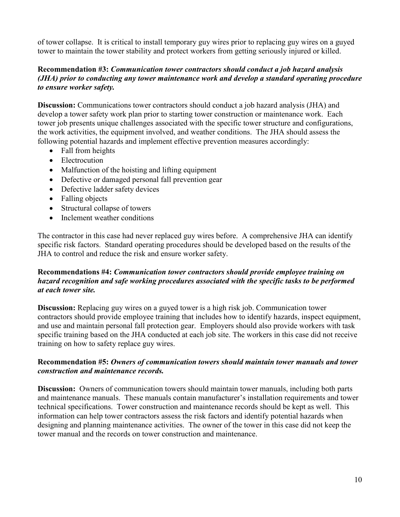of tower collapse. It is critical to install temporary guy wires prior to replacing guy wires on a guyed tower to maintain the tower stability and protect workers from getting seriously injured or killed.

#### *to ensure worker safety.* **Recommendation #3:** *Communication tower contractors should conduct a job hazard analysis (JHA) prior to conducting any tower maintenance work and develop a standard operating procedure*

**Discussion:** Communications tower contractors should conduct a job hazard analysis (JHA) and develop a tower safety work plan prior to starting tower construction or maintenance work. Each tower job presents unique challenges associated with the specific tower structure and configurations, the work activities, the equipment involved, and weather conditions. The JHA should assess the following potential hazards and implement effective prevention measures accordingly:

- Fall from heights
- Electrocution
- Malfunction of the hoisting and lifting equipment
- Defective or damaged personal fall prevention gear
- Defective ladder safety devices
- Falling objects
- Structural collapse of towers
- Inclement weather conditions

 The contractor in this case had never replaced guy wires before. A comprehensive JHA can identify specific risk factors. Standard operating procedures should be developed based on the results of the JHA to control and reduce the risk and ensure worker safety.

#### **Recommendations #4:** *Communication tower contractors should provide employee training on hazard recognition and safe working procedures associated with the specific tasks to be performed at each tower site.*

 training on how to safety replace guy wires. **Discussion:** Replacing guy wires on a guyed tower is a high risk job. Communication tower contractors should provide employee training that includes how to identify hazards, inspect equipment, and use and maintain personal fall protection gear. Employers should also provide workers with task specific training based on the JHA conducted at each job site. The workers in this case did not receive

#### **Recommendation #5:** *Owners of communication towers should maintain tower manuals and tower construction and maintenance records.*

**Discussion:** Owners of communication towers should maintain tower manuals, including both parts and maintenance manuals. These manuals contain manufacturer's installation requirements and tower technical specifications. Tower construction and maintenance records should be kept as well. This information can help tower contractors assess the risk factors and identify potential hazards when designing and planning maintenance activities. The owner of the tower in this case did not keep the tower manual and the records on tower construction and maintenance.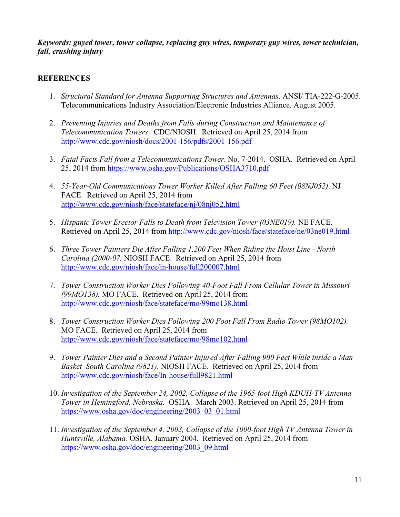*Keywords: guyed tower, tower collapse, replacing guy wires, temporary guy wires, tower technician, fall, crushing injury*

#### **REFERENCES**

- 1. *Structural Standard for Antenna Supporting Structures and Antennas.* ANSI/ TIA-222-G-2005. Telecommunications Industry Association/Electronic Industries Alliance. August 2005.
- 2. *Preventing Injuries and Deaths from Falls during Construction and Maintenance of Telecommunication Towers*. CDC/NIOSH. Retrieved on April 25, 2014 from http://www.cdc.gov/niosh/docs/2001-156/pdfs/2001-156.pdf
- 3. *Fatal Facts Fall from a Telecommunications Tower*. No. 72014. OSHA. Retrieved on April 25, 2014 from https://www.osha.gov/Publications/OSHA3710.pdf
- 4. 55-Year-Old Communications Tower Worker Killed After Falling 60 Feet (08NJ052). NJ FACE. Retrieved on April 25, 2014 from http://www.cdc.gov/niosh/face/stateface/nj/08nj052.html
- 5. *Hispanic Tower Erector Falls to Death from Television Tower (03NE019)*. NE FACE. Retrieved on April 25, 2014 from http://www.cdc.gov/niosh/face/stateface/ne/03ne019.html
- 6. *Three Tower Painters Die After Falling 1,200 Feet When Riding the Hoist Line North Carolina (2000-07.* NIOSH FACE. Retrieved on April 25, 2014 from http://www.cdc.gov/niosh/face/in-house/full200007.html
- 7. *Tower Construction Worker Dies Following 40Foot Fall From Cellular Tower in Missouri (99MO138).* MO FACE. Retrieved on April 25, 2014 from http://www.cdc.gov/niosh/face/stateface/mo/99mo138.html
- 8. *Tower Construction Worker Dies Following 200 Foot Fall From Radio Tower (98MO102).* MO FACE. Retrieved on April 25, 2014 from http://www.cdc.gov/niosh/face/stateface/mo/98mo102.html
- 9. *Tower Painter Dies and a Second Painter Injured After Falling 900 Feet While inside a Man Basket–South Carolina (9821)*. NIOSH FACE. Retrieved on April 25, 2014 from http://www.cdc.gov/niosh/face/In-house/full9821.html
- 10. Investigation of the September 24, 2002, Collapse of the 1965-foot High KDUH-TV Antenna *Tower in Hemingford, Nebraska.* OSHA. March 2003. Retrieved on April 25, 2014 from https://www.osha.gov/doc/engineering/2003\_03\_01.html
- 11. *Investigation of the September 4, 2003, Collapse of the 1000-foot High TV Antenna Tower in Huntsville, Alabama.* OSHA. January 2004. Retrieved on April 25, 2014 from https://www.osha.gov/doc/engineering/2003\_09.html